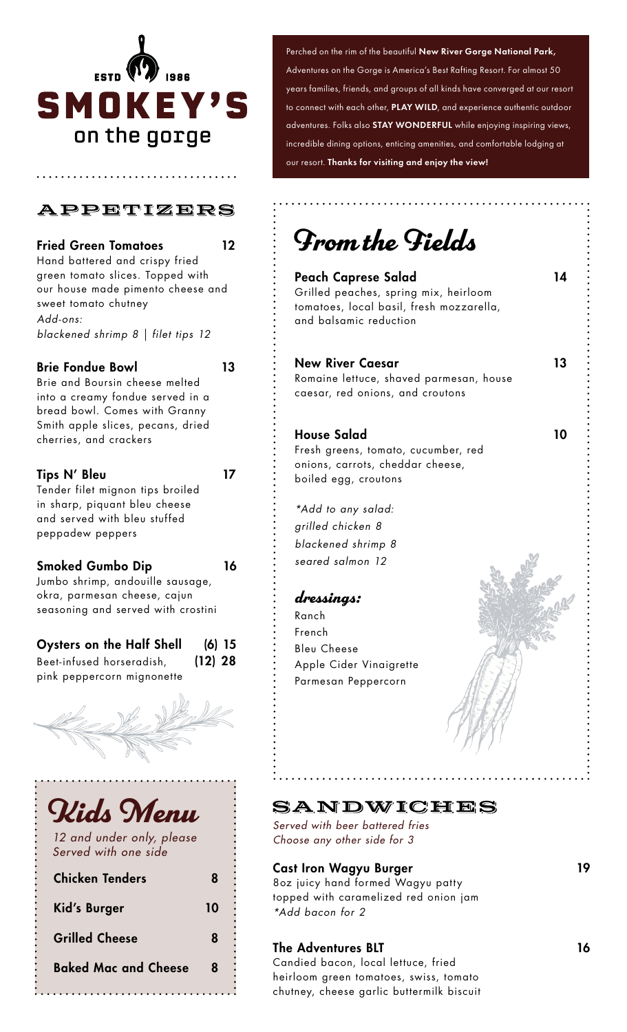# **SMOKEY'S** on the gorge

#### APPETIZERS

Hand battered and crispy fried green tomato slices. Topped with our house made pimento cheese and sweet tomato chutney *Add-ons: blackened shrimp 8 | filet tips 12*

Brie Fondue Bowl 13

Brie and Boursin cheese melted into a creamy fondue served in a bread bowl. Comes with Granny Smith apple slices, pecans, dried cherries, and crackers

#### Tips N' Bleu 17

Tender filet mignon tips broiled in sharp, piquant bleu cheese and served with bleu stuffed peppadew peppers

#### Smoked Gumbo Dip 16

Jumbo shrimp, andouille sausage, okra, parmesan cheese, cajun seasoning and served with crostini

Oysters on the Half Shell (6) 15 Beet-infused horseradish, (12) 28 pink peppercorn mignonette





Perched on the rim of the beautiful New River Gorge National Park, Adventures on the Gorge is America's Best Rafting Resort. For almost 50 years families, friends, and groups of all kinds have converged at our resort to connect with each other, PLAY WILD, and experience authentic outdoor adventures. Folks also STAY WONDERFUL while enjoying inspiring views, incredible dining options, enticing amenities, and comfortable lodging at our resort. Thanks for visiting and enjoy the view!

### Fried Green Tomatoes 12 From the Fields

| Peach Caprese Salad<br>Grilled peaches, spring mix, heirloom<br>tomatoes, local basil, fresh mozzarella,<br>and balsamic reduction | IД |
|------------------------------------------------------------------------------------------------------------------------------------|----|
| New River Caesar<br>Romaine lettuce, shaved parmesan, house<br>caesar, red onions, and croutons                                    | 13 |

House Salad 10 Fresh greens, tomato, cucumber, red onions, carrots, cheddar cheese, boiled egg, croutons

*\*Add to any salad: grilled chicken 8 blackened shrimp 8 seared salmon 12* 

#### *dressings:*

Ranch French Bleu Cheese Apple Cider Vinaigrette Parmesan Peppercorn

#### sandwiches sandwiches

*Served with beer battered fries Choose any other side for 3*

#### Cast Iron Wagyu Burger 19 19

8oz juicy hand formed Wagyu patty topped with caramelized red onion jam *\*Add bacon for 2*

#### The Adventures BLT 16

Candied bacon, local lettuce, fried heirloom green tomatoes, swiss, tomato chutney, cheese garlic buttermilk biscuit